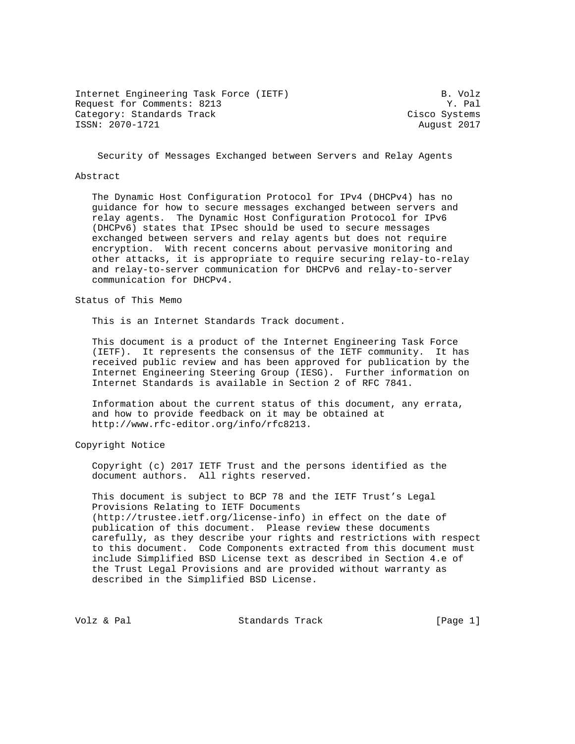Internet Engineering Task Force (IETF) B. Volz Request for Comments: 8213 Y. Pal Category: Standards Track Cisco Systems ISSN: 2070-1721 August 2017

Security of Messages Exchanged between Servers and Relay Agents

#### Abstract

 The Dynamic Host Configuration Protocol for IPv4 (DHCPv4) has no guidance for how to secure messages exchanged between servers and relay agents. The Dynamic Host Configuration Protocol for IPv6 (DHCPv6) states that IPsec should be used to secure messages exchanged between servers and relay agents but does not require encryption. With recent concerns about pervasive monitoring and other attacks, it is appropriate to require securing relay-to-relay and relay-to-server communication for DHCPv6 and relay-to-server communication for DHCPv4.

Status of This Memo

This is an Internet Standards Track document.

 This document is a product of the Internet Engineering Task Force (IETF). It represents the consensus of the IETF community. It has received public review and has been approved for publication by the Internet Engineering Steering Group (IESG). Further information on Internet Standards is available in Section 2 of RFC 7841.

 Information about the current status of this document, any errata, and how to provide feedback on it may be obtained at http://www.rfc-editor.org/info/rfc8213.

Copyright Notice

 Copyright (c) 2017 IETF Trust and the persons identified as the document authors. All rights reserved.

 This document is subject to BCP 78 and the IETF Trust's Legal Provisions Relating to IETF Documents (http://trustee.ietf.org/license-info) in effect on the date of publication of this document. Please review these documents carefully, as they describe your rights and restrictions with respect to this document. Code Components extracted from this document must include Simplified BSD License text as described in Section 4.e of the Trust Legal Provisions and are provided without warranty as described in the Simplified BSD License.

Volz & Pal Standards Track [Page 1]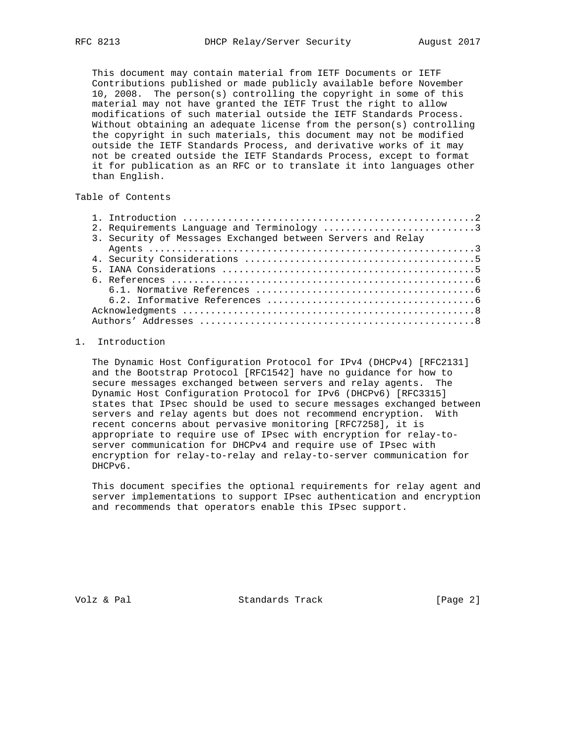This document may contain material from IETF Documents or IETF Contributions published or made publicly available before November 10, 2008. The person(s) controlling the copyright in some of this material may not have granted the IETF Trust the right to allow modifications of such material outside the IETF Standards Process. Without obtaining an adequate license from the person(s) controlling the copyright in such materials, this document may not be modified outside the IETF Standards Process, and derivative works of it may not be created outside the IETF Standards Process, except to format it for publication as an RFC or to translate it into languages other than English.

# Table of Contents

|  | 2. Requirements Language and Terminology 3                  |  |
|--|-------------------------------------------------------------|--|
|  | 3. Security of Messages Exchanged between Servers and Relay |  |
|  |                                                             |  |
|  |                                                             |  |
|  |                                                             |  |
|  |                                                             |  |
|  |                                                             |  |
|  |                                                             |  |
|  |                                                             |  |
|  |                                                             |  |
|  |                                                             |  |

## 1. Introduction

 The Dynamic Host Configuration Protocol for IPv4 (DHCPv4) [RFC2131] and the Bootstrap Protocol [RFC1542] have no guidance for how to secure messages exchanged between servers and relay agents. The Dynamic Host Configuration Protocol for IPv6 (DHCPv6) [RFC3315] states that IPsec should be used to secure messages exchanged between servers and relay agents but does not recommend encryption. With recent concerns about pervasive monitoring [RFC7258], it is appropriate to require use of IPsec with encryption for relay-to server communication for DHCPv4 and require use of IPsec with encryption for relay-to-relay and relay-to-server communication for DHCPv6.

 This document specifies the optional requirements for relay agent and server implementations to support IPsec authentication and encryption and recommends that operators enable this IPsec support.

Volz & Pal Standards Track [Page 2]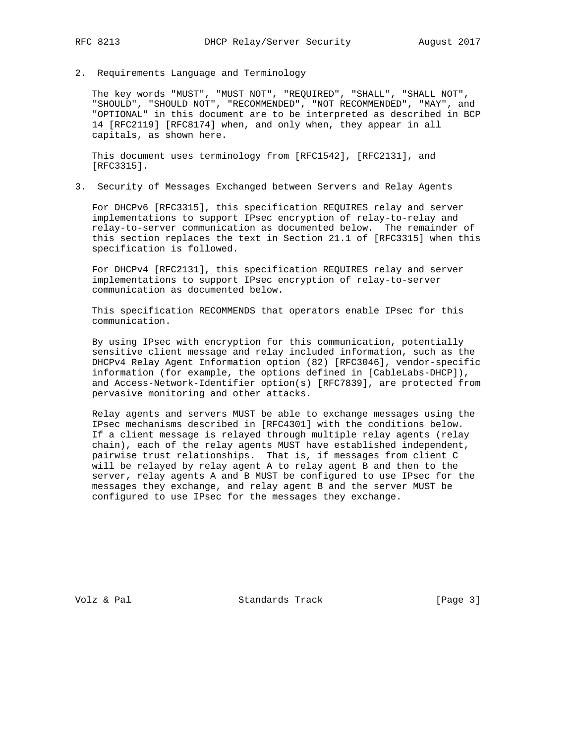2. Requirements Language and Terminology

 The key words "MUST", "MUST NOT", "REQUIRED", "SHALL", "SHALL NOT", "SHOULD", "SHOULD NOT", "RECOMMENDED", "NOT RECOMMENDED", "MAY", and "OPTIONAL" in this document are to be interpreted as described in BCP 14 [RFC2119] [RFC8174] when, and only when, they appear in all capitals, as shown here.

 This document uses terminology from [RFC1542], [RFC2131], and [RFC3315].

3. Security of Messages Exchanged between Servers and Relay Agents

 For DHCPv6 [RFC3315], this specification REQUIRES relay and server implementations to support IPsec encryption of relay-to-relay and relay-to-server communication as documented below. The remainder of this section replaces the text in Section 21.1 of [RFC3315] when this specification is followed.

 For DHCPv4 [RFC2131], this specification REQUIRES relay and server implementations to support IPsec encryption of relay-to-server communication as documented below.

 This specification RECOMMENDS that operators enable IPsec for this communication.

 By using IPsec with encryption for this communication, potentially sensitive client message and relay included information, such as the DHCPv4 Relay Agent Information option (82) [RFC3046], vendor-specific information (for example, the options defined in [CableLabs-DHCP]), and Access-Network-Identifier option(s) [RFC7839], are protected from pervasive monitoring and other attacks.

 Relay agents and servers MUST be able to exchange messages using the IPsec mechanisms described in [RFC4301] with the conditions below. If a client message is relayed through multiple relay agents (relay chain), each of the relay agents MUST have established independent, pairwise trust relationships. That is, if messages from client C will be relayed by relay agent A to relay agent B and then to the server, relay agents A and B MUST be configured to use IPsec for the messages they exchange, and relay agent B and the server MUST be configured to use IPsec for the messages they exchange.

Volz & Pal Standards Track [Page 3]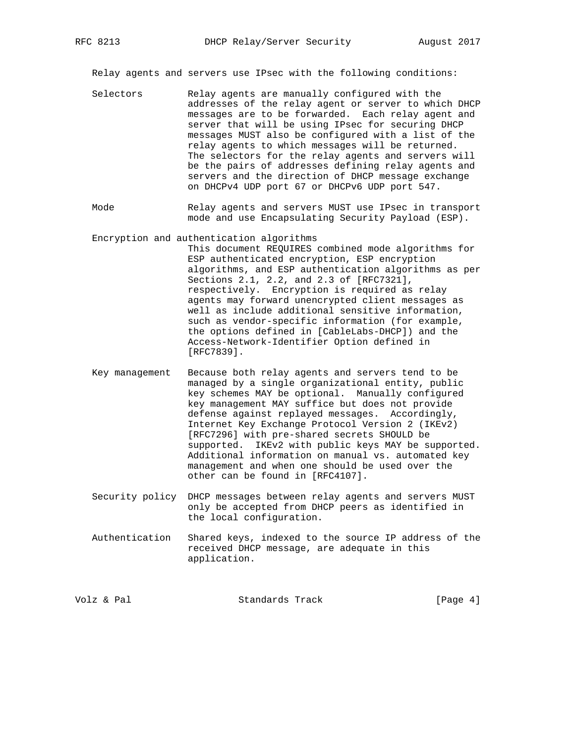Relay agents and servers use IPsec with the following conditions:

- Selectors Relay agents are manually configured with the addresses of the relay agent or server to which DHCP messages are to be forwarded. Each relay agent and server that will be using IPsec for securing DHCP messages MUST also be configured with a list of the relay agents to which messages will be returned. The selectors for the relay agents and servers will be the pairs of addresses defining relay agents and servers and the direction of DHCP message exchange on DHCPv4 UDP port 67 or DHCPv6 UDP port 547.
- Mode Relay agents and servers MUST use IPsec in transport mode and use Encapsulating Security Payload (ESP).
- Encryption and authentication algorithms This document REQUIRES combined mode algorithms for ESP authenticated encryption, ESP encryption algorithms, and ESP authentication algorithms as per Sections 2.1, 2.2, and 2.3 of [RFC7321], respectively. Encryption is required as relay agents may forward unencrypted client messages as well as include additional sensitive information, such as vendor-specific information (for example, the options defined in [CableLabs-DHCP]) and the Access-Network-Identifier Option defined in [RFC7839].
- Key management Because both relay agents and servers tend to be managed by a single organizational entity, public key schemes MAY be optional. Manually configured key management MAY suffice but does not provide defense against replayed messages. Accordingly, Internet Key Exchange Protocol Version 2 (IKEv2) [RFC7296] with pre-shared secrets SHOULD be supported. IKEv2 with public keys MAY be supported. Additional information on manual vs. automated key management and when one should be used over the other can be found in [RFC4107].
- Security policy DHCP messages between relay agents and servers MUST only be accepted from DHCP peers as identified in the local configuration.
- Authentication Shared keys, indexed to the source IP address of the received DHCP message, are adequate in this application.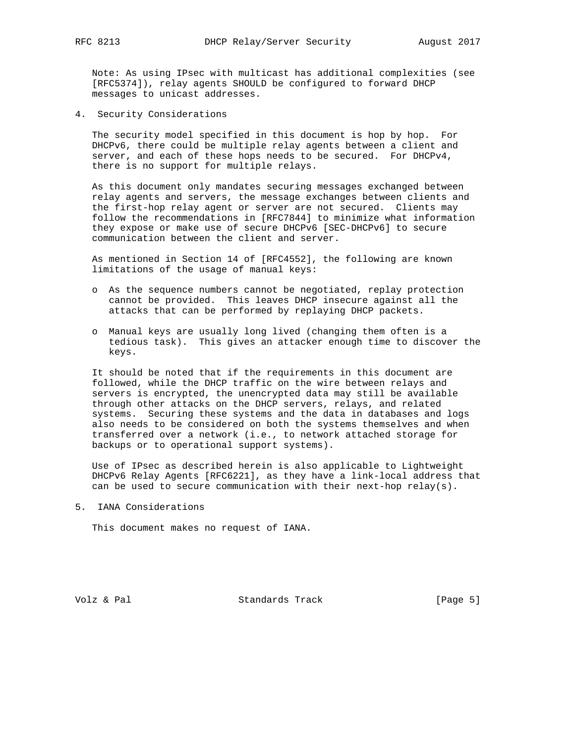Note: As using IPsec with multicast has additional complexities (see [RFC5374]), relay agents SHOULD be configured to forward DHCP messages to unicast addresses.

4. Security Considerations

 The security model specified in this document is hop by hop. For DHCPv6, there could be multiple relay agents between a client and server, and each of these hops needs to be secured. For DHCPv4, there is no support for multiple relays.

 As this document only mandates securing messages exchanged between relay agents and servers, the message exchanges between clients and the first-hop relay agent or server are not secured. Clients may follow the recommendations in [RFC7844] to minimize what information they expose or make use of secure DHCPv6 [SEC-DHCPv6] to secure communication between the client and server.

 As mentioned in Section 14 of [RFC4552], the following are known limitations of the usage of manual keys:

- o As the sequence numbers cannot be negotiated, replay protection cannot be provided. This leaves DHCP insecure against all the attacks that can be performed by replaying DHCP packets.
- o Manual keys are usually long lived (changing them often is a tedious task). This gives an attacker enough time to discover the keys.

 It should be noted that if the requirements in this document are followed, while the DHCP traffic on the wire between relays and servers is encrypted, the unencrypted data may still be available through other attacks on the DHCP servers, relays, and related systems. Securing these systems and the data in databases and logs also needs to be considered on both the systems themselves and when transferred over a network (i.e., to network attached storage for backups or to operational support systems).

 Use of IPsec as described herein is also applicable to Lightweight DHCPv6 Relay Agents [RFC6221], as they have a link-local address that can be used to secure communication with their next-hop relay(s).

5. IANA Considerations

This document makes no request of IANA.

Volz & Pal  $\qquad \qquad$ Standards Track [Page 5]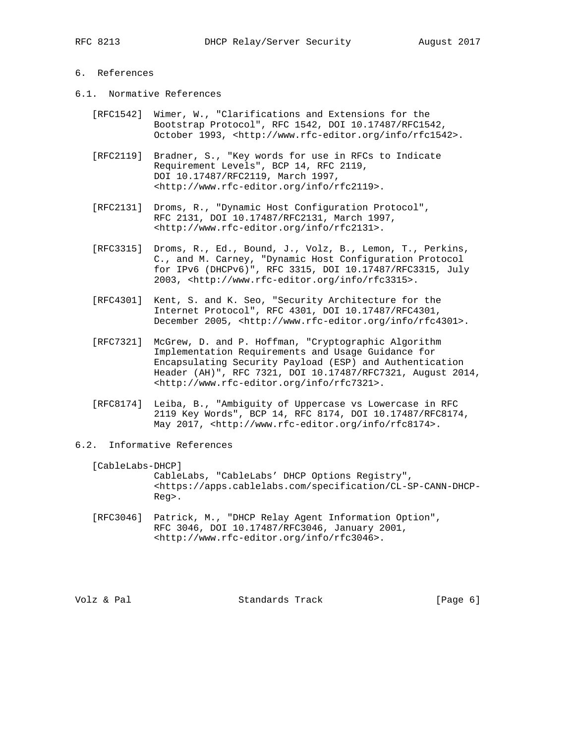### 6. References

- 6.1. Normative References
	- [RFC1542] Wimer, W., "Clarifications and Extensions for the Bootstrap Protocol", RFC 1542, DOI 10.17487/RFC1542, October 1993, <http://www.rfc-editor.org/info/rfc1542>.
	- [RFC2119] Bradner, S., "Key words for use in RFCs to Indicate Requirement Levels", BCP 14, RFC 2119, DOI 10.17487/RFC2119, March 1997, <http://www.rfc-editor.org/info/rfc2119>.
	- [RFC2131] Droms, R., "Dynamic Host Configuration Protocol", RFC 2131, DOI 10.17487/RFC2131, March 1997, <http://www.rfc-editor.org/info/rfc2131>.
	- [RFC3315] Droms, R., Ed., Bound, J., Volz, B., Lemon, T., Perkins, C., and M. Carney, "Dynamic Host Configuration Protocol for IPv6 (DHCPv6)", RFC 3315, DOI 10.17487/RFC3315, July 2003, <http://www.rfc-editor.org/info/rfc3315>.
	- [RFC4301] Kent, S. and K. Seo, "Security Architecture for the Internet Protocol", RFC 4301, DOI 10.17487/RFC4301, December 2005, <http://www.rfc-editor.org/info/rfc4301>.
	- [RFC7321] McGrew, D. and P. Hoffman, "Cryptographic Algorithm Implementation Requirements and Usage Guidance for Encapsulating Security Payload (ESP) and Authentication Header (AH)", RFC 7321, DOI 10.17487/RFC7321, August 2014, <http://www.rfc-editor.org/info/rfc7321>.
	- [RFC8174] Leiba, B., "Ambiguity of Uppercase vs Lowercase in RFC 2119 Key Words", BCP 14, RFC 8174, DOI 10.17487/RFC8174, May 2017, <http://www.rfc-editor.org/info/rfc8174>.
- 6.2. Informative References

[CableLabs-DHCP]

 CableLabs, "CableLabs' DHCP Options Registry", <https://apps.cablelabs.com/specification/CL-SP-CANN-DHCP- Reg>.

 [RFC3046] Patrick, M., "DHCP Relay Agent Information Option", RFC 3046, DOI 10.17487/RFC3046, January 2001, <http://www.rfc-editor.org/info/rfc3046>.

Volz & Pal Standards Track [Page 6]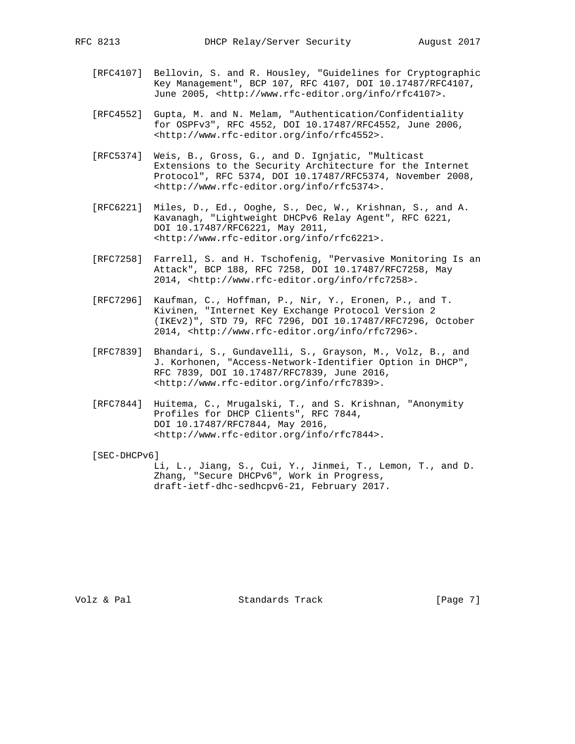- - [RFC4107] Bellovin, S. and R. Housley, "Guidelines for Cryptographic Key Management", BCP 107, RFC 4107, DOI 10.17487/RFC4107, June 2005, <http://www.rfc-editor.org/info/rfc4107>.
	- [RFC4552] Gupta, M. and N. Melam, "Authentication/Confidentiality for OSPFv3", RFC 4552, DOI 10.17487/RFC4552, June 2006, <http://www.rfc-editor.org/info/rfc4552>.
	- [RFC5374] Weis, B., Gross, G., and D. Ignjatic, "Multicast Extensions to the Security Architecture for the Internet Protocol", RFC 5374, DOI 10.17487/RFC5374, November 2008, <http://www.rfc-editor.org/info/rfc5374>.
	- [RFC6221] Miles, D., Ed., Ooghe, S., Dec, W., Krishnan, S., and A. Kavanagh, "Lightweight DHCPv6 Relay Agent", RFC 6221, DOI 10.17487/RFC6221, May 2011, <http://www.rfc-editor.org/info/rfc6221>.
	- [RFC7258] Farrell, S. and H. Tschofenig, "Pervasive Monitoring Is an Attack", BCP 188, RFC 7258, DOI 10.17487/RFC7258, May 2014, <http://www.rfc-editor.org/info/rfc7258>.
	- [RFC7296] Kaufman, C., Hoffman, P., Nir, Y., Eronen, P., and T. Kivinen, "Internet Key Exchange Protocol Version 2 (IKEv2)", STD 79, RFC 7296, DOI 10.17487/RFC7296, October 2014, <http://www.rfc-editor.org/info/rfc7296>.
	- [RFC7839] Bhandari, S., Gundavelli, S., Grayson, M., Volz, B., and J. Korhonen, "Access-Network-Identifier Option in DHCP", RFC 7839, DOI 10.17487/RFC7839, June 2016, <http://www.rfc-editor.org/info/rfc7839>.
	- [RFC7844] Huitema, C., Mrugalski, T., and S. Krishnan, "Anonymity Profiles for DHCP Clients", RFC 7844, DOI 10.17487/RFC7844, May 2016, <http://www.rfc-editor.org/info/rfc7844>.

[SEC-DHCPv6]

 Li, L., Jiang, S., Cui, Y., Jinmei, T., Lemon, T., and D. Zhang, "Secure DHCPv6", Work in Progress, draft-ietf-dhc-sedhcpv6-21, February 2017.

Volz & Pal  $\begin{array}{ccc} \text{Volz} & \text{Standards Track} \end{array}$  [Page 7]